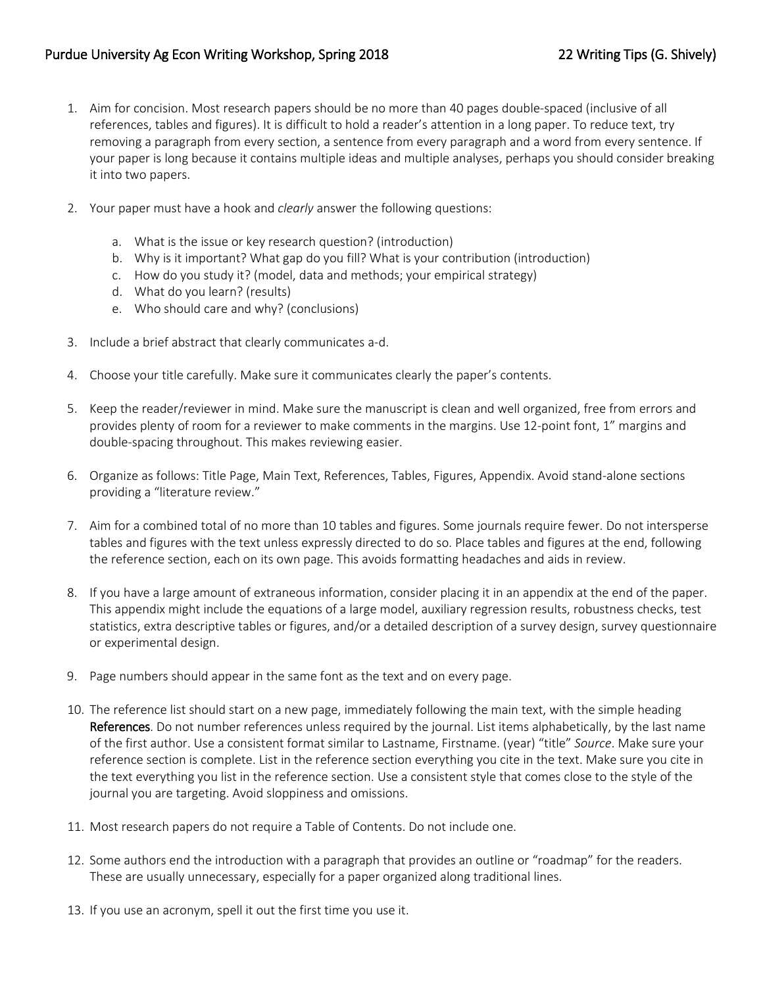- 1. Aim for concision. Most research papers should be no more than 40 pages double-spaced (inclusive of all references, tables and figures). It is difficult to hold a reader's attention in a long paper. To reduce text, try removing a paragraph from every section, a sentence from every paragraph and a word from every sentence. If your paper is long because it contains multiple ideas and multiple analyses, perhaps you should consider breaking it into two papers.
- 2. Your paper must have a hook and *clearly* answer the following questions:
	- a. What is the issue or key research question? (introduction)
	- b. Why is it important? What gap do you fill? What is your contribution (introduction)
	- c. How do you study it? (model, data and methods; your empirical strategy)
	- d. What do you learn? (results)
	- e. Who should care and why? (conclusions)
- 3. Include a brief abstract that clearly communicates a-d.
- 4. Choose your title carefully. Make sure it communicates clearly the paper's contents.
- 5. Keep the reader/reviewer in mind. Make sure the manuscript is clean and well organized, free from errors and provides plenty of room for a reviewer to make comments in the margins. Use 12-point font, 1" margins and double-spacing throughout. This makes reviewing easier.
- 6. Organize as follows: Title Page, Main Text, References, Tables, Figures, Appendix. Avoid stand-alone sections providing a "literature review."
- 7. Aim for a combined total of no more than 10 tables and figures. Some journals require fewer. Do not intersperse tables and figures with the text unless expressly directed to do so. Place tables and figures at the end, following the reference section, each on its own page. This avoids formatting headaches and aids in review.
- 8. If you have a large amount of extraneous information, consider placing it in an appendix at the end of the paper. This appendix might include the equations of a large model, auxiliary regression results, robustness checks, test statistics, extra descriptive tables or figures, and/or a detailed description of a survey design, survey questionnaire or experimental design.
- 9. Page numbers should appear in the same font as the text and on every page.
- 10. The reference list should start on a new page, immediately following the main text, with the simple heading References. Do not number references unless required by the journal. List items alphabetically, by the last name of the first author. Use a consistent format similar to Lastname, Firstname. (year) "title" *Source*. Make sure your reference section is complete. List in the reference section everything you cite in the text. Make sure you cite in the text everything you list in the reference section. Use a consistent style that comes close to the style of the journal you are targeting. Avoid sloppiness and omissions.
- 11. Most research papers do not require a Table of Contents. Do not include one.
- 12. Some authors end the introduction with a paragraph that provides an outline or "roadmap" for the readers. These are usually unnecessary, especially for a paper organized along traditional lines.
- 13. If you use an acronym, spell it out the first time you use it.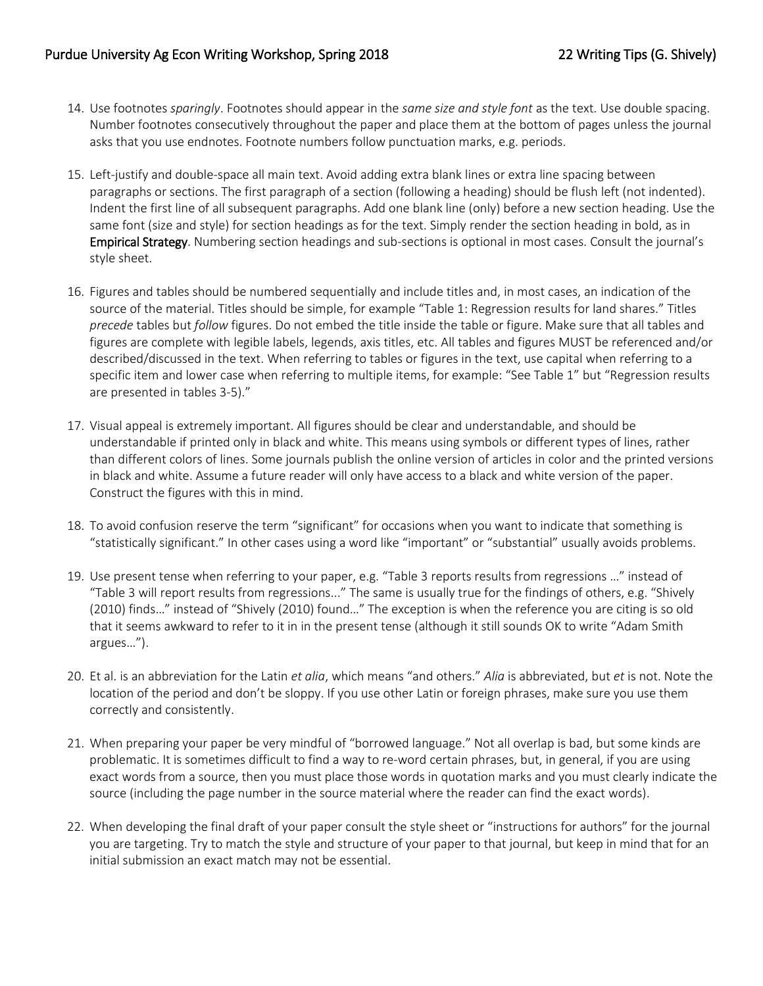- 14. Use footnotes *sparingly*. Footnotes should appear in the *same size and style font* as the text. Use double spacing. Number footnotes consecutively throughout the paper and place them at the bottom of pages unless the journal asks that you use endnotes. Footnote numbers follow punctuation marks, e.g. periods.
- 15. Left-justify and double-space all main text. Avoid adding extra blank lines or extra line spacing between paragraphs or sections. The first paragraph of a section (following a heading) should be flush left (not indented). Indent the first line of all subsequent paragraphs. Add one blank line (only) before a new section heading. Use the same font (size and style) for section headings as for the text. Simply render the section heading in bold, as in Empirical Strategy. Numbering section headings and sub-sections is optional in most cases. Consult the journal's style sheet.
- 16. Figures and tables should be numbered sequentially and include titles and, in most cases, an indication of the source of the material. Titles should be simple, for example "Table 1: Regression results for land shares." Titles *precede* tables but *follow* figures. Do not embed the title inside the table or figure. Make sure that all tables and figures are complete with legible labels, legends, axis titles, etc. All tables and figures MUST be referenced and/or described/discussed in the text. When referring to tables or figures in the text, use capital when referring to a specific item and lower case when referring to multiple items, for example: "See Table 1" but "Regression results are presented in tables 3-5)."
- 17. Visual appeal is extremely important. All figures should be clear and understandable, and should be understandable if printed only in black and white. This means using symbols or different types of lines, rather than different colors of lines. Some journals publish the online version of articles in color and the printed versions in black and white. Assume a future reader will only have access to a black and white version of the paper. Construct the figures with this in mind.
- 18. To avoid confusion reserve the term "significant" for occasions when you want to indicate that something is "statistically significant." In other cases using a word like "important" or "substantial" usually avoids problems.
- 19. Use present tense when referring to your paper, e.g. "Table 3 reports results from regressions …" instead of "Table 3 will report results from regressions..." The same is usually true for the findings of others, e.g. "Shively (2010) finds…" instead of "Shively (2010) found…" The exception is when the reference you are citing is so old that it seems awkward to refer to it in in the present tense (although it still sounds OK to write "Adam Smith argues…").
- 20. Et al. is an abbreviation for the Latin *et alia*, which means "and others." *Alia* is abbreviated, but *et* is not. Note the location of the period and don't be sloppy. If you use other Latin or foreign phrases, make sure you use them correctly and consistently.
- 21. When preparing your paper be very mindful of "borrowed language." Not all overlap is bad, but some kinds are problematic. It is sometimes difficult to find a way to re-word certain phrases, but, in general, if you are using exact words from a source, then you must place those words in quotation marks and you must clearly indicate the source (including the page number in the source material where the reader can find the exact words).
- 22. When developing the final draft of your paper consult the style sheet or "instructions for authors" for the journal you are targeting. Try to match the style and structure of your paper to that journal, but keep in mind that for an initial submission an exact match may not be essential.